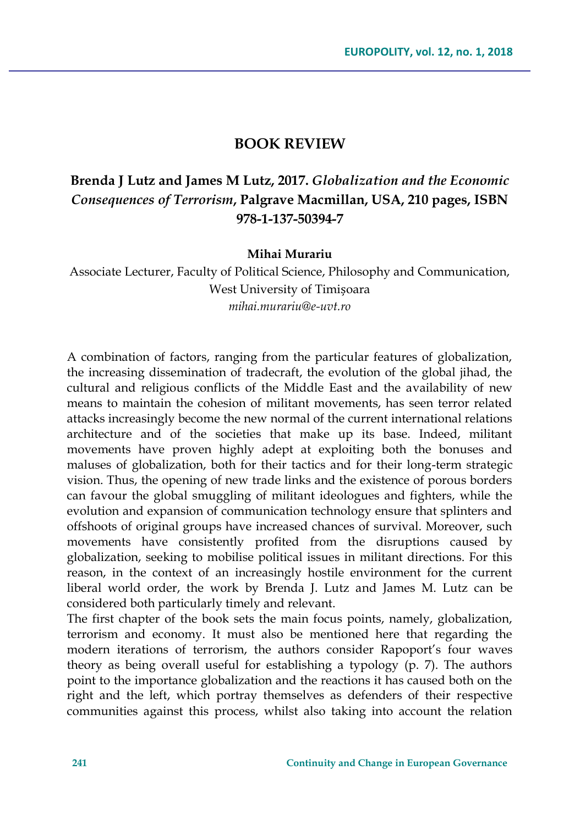## **BOOK REVIEW**

## **Brenda J Lutz and James M Lutz, 2017.** *Globalization and the Economic Consequences of Terrorism***, Palgrave Macmillan, USA, 210 pages, ISBN 978-1-137-50394-7**

## **Mihai Murariu**

Associate Lecturer, Faculty of Political Science, Philosophy and Communication, West University of Timișoara *mihai.murariu@e-uvt.ro*

A combination of factors, ranging from the particular features of globalization, the increasing dissemination of tradecraft, the evolution of the global jihad, the cultural and religious conflicts of the Middle East and the availability of new means to maintain the cohesion of militant movements, has seen terror related attacks increasingly become the new normal of the current international relations architecture and of the societies that make up its base. Indeed, militant movements have proven highly adept at exploiting both the bonuses and maluses of globalization, both for their tactics and for their long-term strategic vision. Thus, the opening of new trade links and the existence of porous borders can favour the global smuggling of militant ideologues and fighters, while the evolution and expansion of communication technology ensure that splinters and offshoots of original groups have increased chances of survival. Moreover, such movements have consistently profited from the disruptions caused by globalization, seeking to mobilise political issues in militant directions. For this reason, in the context of an increasingly hostile environment for the current liberal world order, the work by Brenda J. Lutz and James M. Lutz can be considered both particularly timely and relevant.

The first chapter of the book sets the main focus points, namely, globalization, terrorism and economy. It must also be mentioned here that regarding the modern iterations of terrorism, the authors consider Rapoport's four waves theory as being overall useful for establishing a typology (p. 7). The authors point to the importance globalization and the reactions it has caused both on the right and the left, which portray themselves as defenders of their respective communities against this process, whilst also taking into account the relation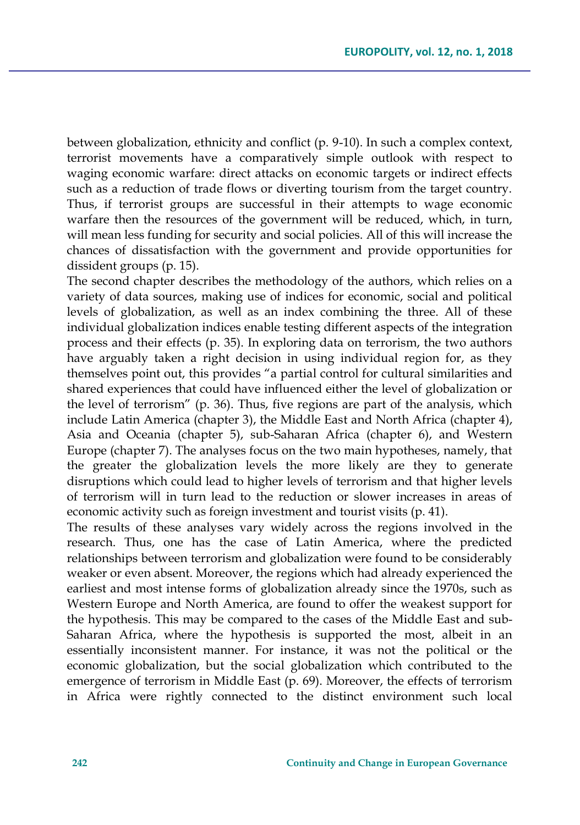between globalization, ethnicity and conflict (p. 9-10). In such a complex context, terrorist movements have a comparatively simple outlook with respect to waging economic warfare: direct attacks on economic targets or indirect effects such as a reduction of trade flows or diverting tourism from the target country. Thus, if terrorist groups are successful in their attempts to wage economic warfare then the resources of the government will be reduced, which, in turn, will mean less funding for security and social policies. All of this will increase the chances of dissatisfaction with the government and provide opportunities for dissident groups (p. 15).

The second chapter describes the methodology of the authors, which relies on a variety of data sources, making use of indices for economic, social and political levels of globalization, as well as an index combining the three. All of these individual globalization indices enable testing different aspects of the integration process and their effects (p. 35). In exploring data on terrorism, the two authors have arguably taken a right decision in using individual region for, as they themselves point out, this provides "a partial control for cultural similarities and shared experiences that could have influenced either the level of globalization or the level of terrorism" (p. 36). Thus, five regions are part of the analysis, which include Latin America (chapter 3), the Middle East and North Africa (chapter 4), Asia and Oceania (chapter 5), sub-Saharan Africa (chapter 6), and Western Europe (chapter 7). The analyses focus on the two main hypotheses, namely, that the greater the globalization levels the more likely are they to generate disruptions which could lead to higher levels of terrorism and that higher levels of terrorism will in turn lead to the reduction or slower increases in areas of economic activity such as foreign investment and tourist visits (p. 41).

The results of these analyses vary widely across the regions involved in the research. Thus, one has the case of Latin America, where the predicted relationships between terrorism and globalization were found to be considerably weaker or even absent. Moreover, the regions which had already experienced the earliest and most intense forms of globalization already since the 1970s, such as Western Europe and North America, are found to offer the weakest support for the hypothesis. This may be compared to the cases of the Middle East and sub-Saharan Africa, where the hypothesis is supported the most, albeit in an essentially inconsistent manner. For instance, it was not the political or the economic globalization, but the social globalization which contributed to the emergence of terrorism in Middle East (p. 69). Moreover, the effects of terrorism in Africa were rightly connected to the distinct environment such local